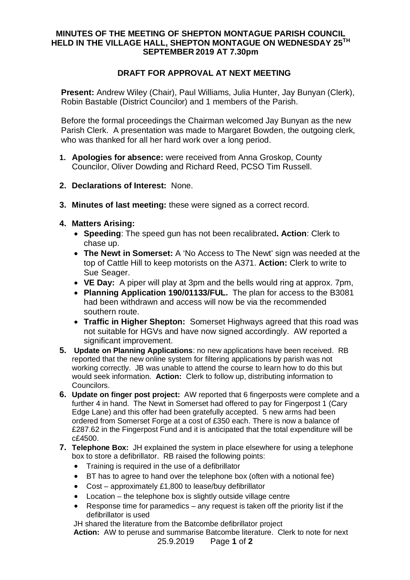## **MINUTES OF THE MEETING OF SHEPTON MONTAGUE PARISH COUNCIL HELD IN THE VILLAGE HALL, SHEPTON MONTAGUE ON WEDNESDAY 25TH SEPTEMBER 2019 AT 7.30pm**

## **DRAFT FOR APPROVAL AT NEXT MEETING**

**Present:** Andrew Wiley (Chair), Paul Williams, Julia Hunter, Jay Bunyan (Clerk), Robin Bastable (District Councilor) and 1 members of the Parish.

Before the formal proceedings the Chairman welcomed Jay Bunyan as the new Parish Clerk. A presentation was made to Margaret Bowden, the outgoing clerk, who was thanked for all her hard work over a long period.

- **1. Apologies for absence:** were received from Anna Groskop, County Councilor, Oliver Dowding and Richard Reed, PCSO Tim Russell.
- **2. Declarations of Interest:** None.
- **3. Minutes of last meeting:** these were signed as a correct record.
- **4. Matters Arising:**
	- · **Speeding**: The speed gun has not been recalibrated**. Action**: Clerk to chase up.
	- · **The Newt in Somerset:** A 'No Access to The Newt' sign was needed at the top of Cattle Hill to keep motorists on the A371. **Action:** Clerk to write to Sue Seager.
	- · **VE Day:** A piper will play at 3pm and the bells would ring at approx. 7pm,
	- · **Planning Application 190/01133/FUL.** The plan for access to the B3081 had been withdrawn and access will now be via the recommended southern route.
	- · **Traffic in Higher Shepton:** Somerset Highways agreed that this road was not suitable for HGVs and have now signed accordingly. AW reported a significant improvement.
- **5. Update on Planning Applications**: no new applications have been received. RB reported that the new online system for filtering applications by parish was not working correctly. JB was unable to attend the course to learn how to do this but would seek information. **Action:** Clerk to follow up, distributing information to Councilors.
- **6. Update on finger post project:** AW reported that 6 fingerposts were complete and a further 4 in hand. The Newt in Somerset had offered to pay for Fingerpost 1 (Cary Edge Lane) and this offer had been gratefully accepted. 5 new arms had been ordered from Somerset Forge at a cost of £350 each. There is now a balance of £287.62 in the Fingerpost Fund and it is anticipated that the total expenditure will be c£4500.
- **7. Telephone Box:** JH explained the system in place elsewhere for using a telephone box to store a defibrillator. RB raised the following points:
	- · Training is required in the use of a defibrillator
	- · BT has to agree to hand over the telephone box (often with a notional fee)
	- · Cost approximately £1,800 to lease/buy defibrillator
	- · Location the telephone box is slightly outside village centre
	- · Response time for paramedics any request is taken off the priority list if the defibrillator is used

JH shared the literature from the Batcombe defibrillator project

25.9.2019 Page **1** of **2 Action:** AW to peruse and summarise Batcombe literature. Clerk to note for next